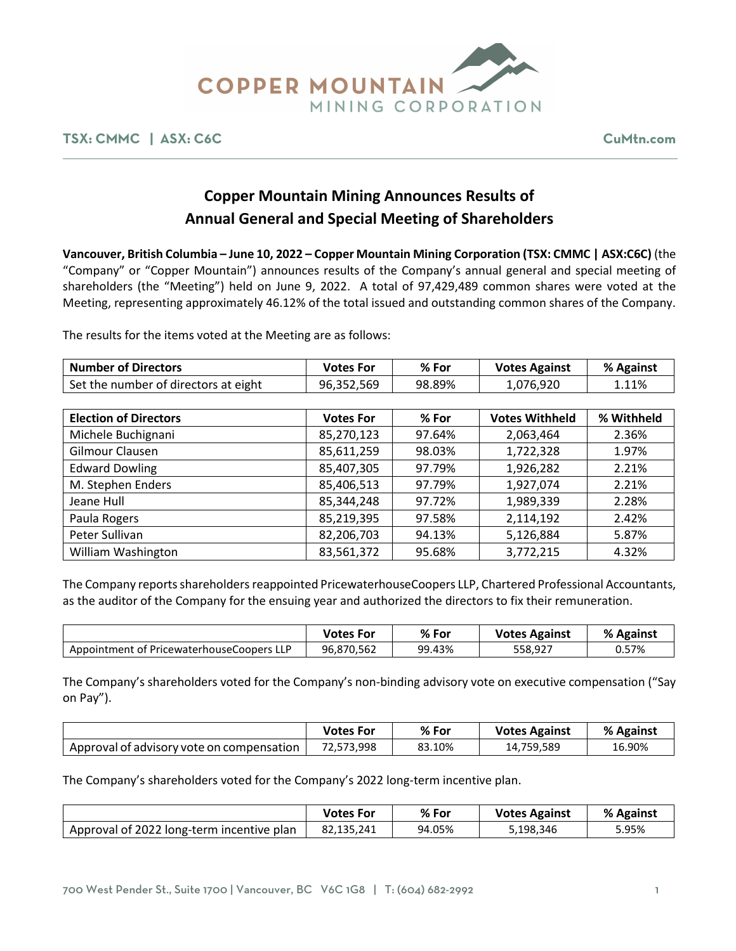

## **TSX: CMMC | ASX: C6C CuMtn.com**

# **Copper Mountain Mining Announces Results of Annual General and Special Meeting of Shareholders**

**Vancouver, British Columbia – June 10, 2022 – Copper Mountain Mining Corporation (TSX: CMMC | ASX:C6C)** (the "Company" or "Copper Mountain") announces results of the Company's annual general and special meeting of shareholders (the "Meeting") held on June 9, 2022. A total of 97,429,489 common shares were voted at the Meeting, representing approximately 46.12% of the total issued and outstanding common shares of the Company.

The results for the items voted at the Meeting are as follows:

| <b>Number of Directors</b>           | <b>Votes For</b> | % For  | <b>Votes Against</b>  | % Against  |
|--------------------------------------|------------------|--------|-----------------------|------------|
| Set the number of directors at eight | 96,352,569       | 98.89% | 1,076,920             | 1.11%      |
|                                      |                  |        |                       |            |
| <b>Election of Directors</b>         | <b>Votes For</b> | % For  | <b>Votes Withheld</b> | % Withheld |
| Michele Buchignani                   | 85,270,123       | 97.64% | 2,063,464             | 2.36%      |
| Gilmour Clausen                      | 85,611,259       | 98.03% | 1,722,328             | 1.97%      |
| <b>Edward Dowling</b>                | 85,407,305       | 97.79% | 1,926,282             | 2.21%      |
| M. Stephen Enders                    | 85,406,513       | 97.79% | 1,927,074             | 2.21%      |
| Jeane Hull                           | 85,344,248       | 97.72% | 1,989,339             | 2.28%      |
| Paula Rogers                         | 85,219,395       | 97.58% | 2,114,192             | 2.42%      |
| Peter Sullivan                       | 82,206,703       | 94.13% | 5,126,884             | 5.87%      |
| William Washington                   | 83,561,372       | 95.68% | 3,772,215             | 4.32%      |

The Company reports shareholders reappointed PricewaterhouseCoopers LLP, Chartered Professional Accountants, as the auditor of the Company for the ensuing year and authorized the directors to fix their remuneration.

|                                           | <b>Votes For</b> | % For  | <b>Votes Against</b> | % Against |
|-------------------------------------------|------------------|--------|----------------------|-----------|
| Appointment of PricewaterhouseCoopers LLP | 96,870,562       | 99.43% | 558,927              | 0.57%     |

The Company's shareholders voted for the Company's non-binding advisory vote on executive compensation ("Say on Pay").

|                                           | <b>Votes For</b> | % For  | <b>Votes Against</b> | % Against |
|-------------------------------------------|------------------|--------|----------------------|-----------|
| Approval of advisory vote on compensation | 72,573,998       | 83.10% | 14.759.589           | 16.90%    |

The Company's shareholders voted for the Company's 2022 long-term incentive plan.

|                                           | <b>Votes For</b> | $%$ For | <b>Votes Against</b> | % Against |
|-------------------------------------------|------------------|---------|----------------------|-----------|
| Approval of 2022 long-term incentive plan | 82,135,241       | 94.05%  | 5,198,346            | 5.95%     |